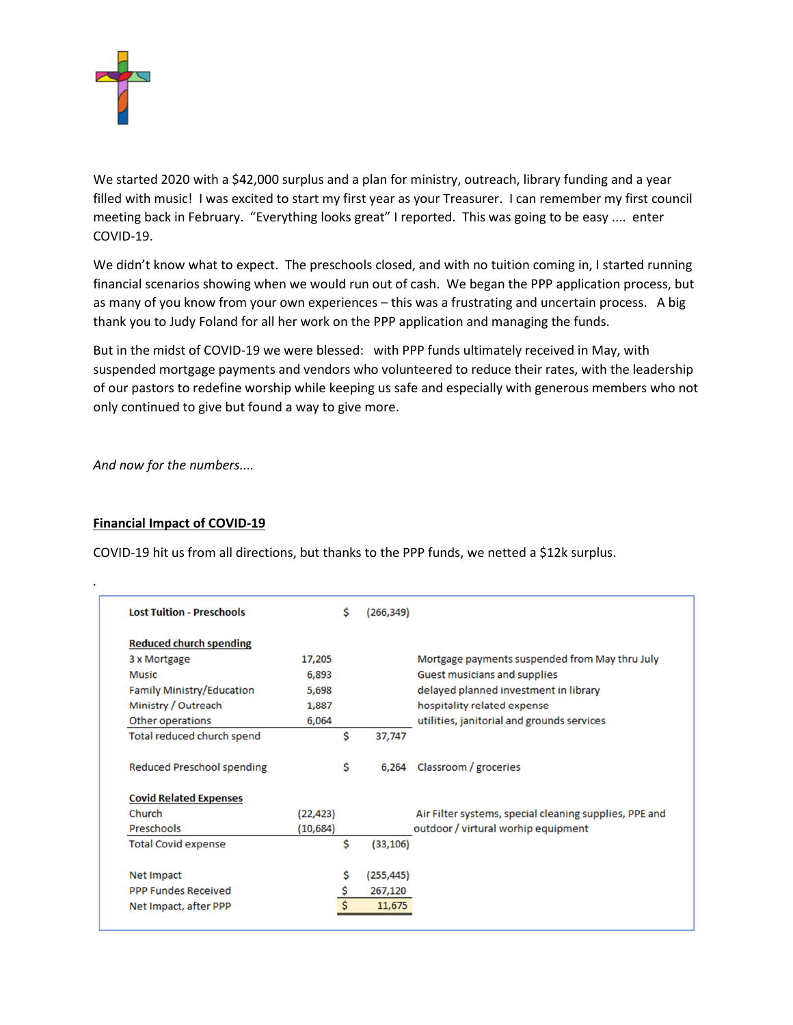

We started 2020 with a \$42,000 surplus and a plan for ministry, outreach, library funding and a year filled with music! I was excited to start my first year as your Treasurer. I can remember my first council meeting back in February. "Everything looks great" I reported. This was going to be easy .... enter COVID-19.

We didn't know what to expect. The preschools closed, and with no tuition coming in, I started running financial scenarios showing when we would run out of cash. We began the PPP application process, but as many of you know from your own experiences – this was a frustrating and uncertain process. A big thank you to Judy Foland for all her work on the PPP application and managing the funds.

But in the midst of COVID-19 we were blessed: with PPP funds ultimately received in May, with suspended mortgage payments and vendors who volunteered to reduce their rates, with the leadership of our pastors to redefine worship while keeping us safe and especially with generous members who not only continued to give but found a way to give more.

And now for the numbers....

## Financial Impact of COVID-19

.

COVID-19 hit us from all directions, but thanks to the PPP funds, we netted a \$12k surplus.

| <b>Lost Tuition - Preschools</b>  |           | Ś | (266, 349) |                                                        |
|-----------------------------------|-----------|---|------------|--------------------------------------------------------|
| <b>Reduced church spending</b>    |           |   |            |                                                        |
| 3 x Mortgage                      | 17,205    |   |            | Mortgage payments suspended from May thru July         |
| <b>Music</b>                      | 6,893     |   |            | Guest musicians and supplies                           |
| Family Ministry/Education         | 5,698     |   |            | delayed planned investment in library                  |
| Ministry / Outreach               | 1,887     |   |            | hospitality related expense                            |
| Other operations                  | 6,064     |   |            | utilities, janitorial and grounds services             |
| Total reduced church spend        |           | Ś | 37,747     |                                                        |
| <b>Reduced Preschool spending</b> |           | Ś | 6.264      | Classroom / groceries                                  |
| <b>Covid Related Expenses</b>     |           |   |            |                                                        |
| Church                            | (22, 423) |   |            | Air Filter systems, special cleaning supplies, PPE and |
| <b>Preschools</b>                 | (10, 684) |   |            | outdoor / virtural worhip equipment                    |
| <b>Total Covid expense</b>        |           | Ś | (33, 106)  |                                                        |
| <b>Net Impact</b>                 |           | S | (255, 445) |                                                        |
| <b>PPP Fundes Received</b>        |           | Ŝ | 267,120    |                                                        |
|                                   |           |   | 11,675     |                                                        |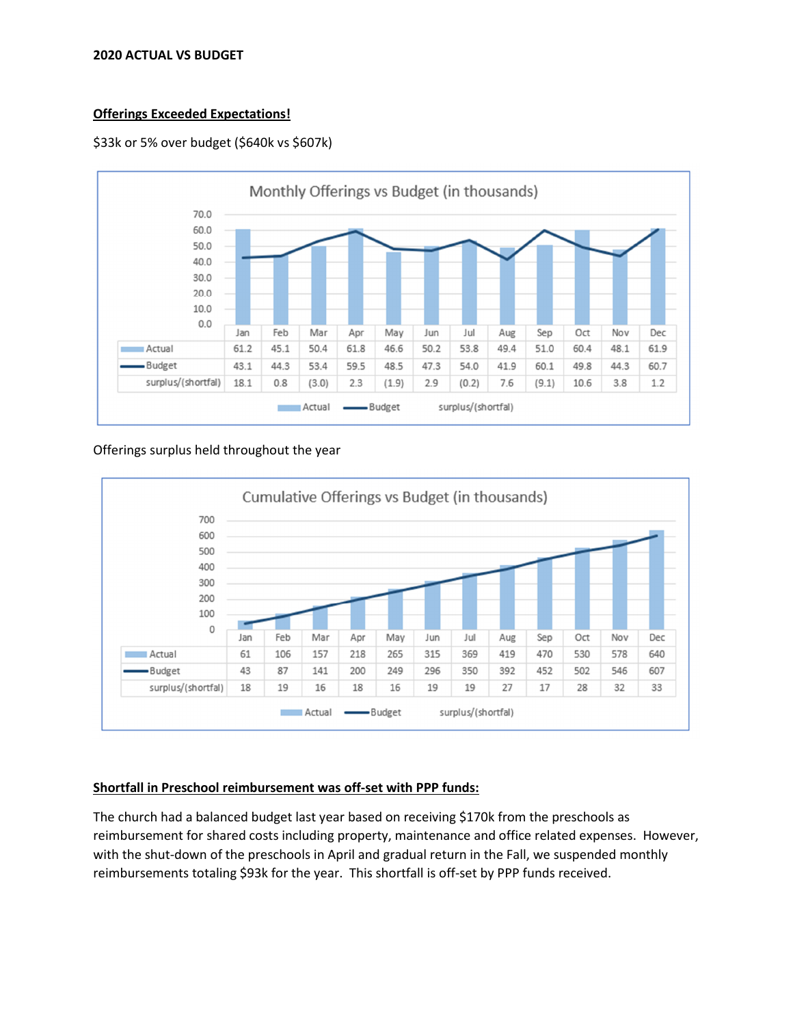#### 2020 ACTUAL VS BUDGET

# Offerings Exceeded Expectations!





#### Offerings surplus held throughout the year



## Shortfall in Preschool reimbursement was off-set with PPP funds:

The church had a balanced budget last year based on receiving \$170k from the preschools as reimbursement for shared costs including property, maintenance and office related expenses. However, with the shut-down of the preschools in April and gradual return in the Fall, we suspended monthly reimbursements totaling \$93k for the year. This shortfall is off-set by PPP funds received.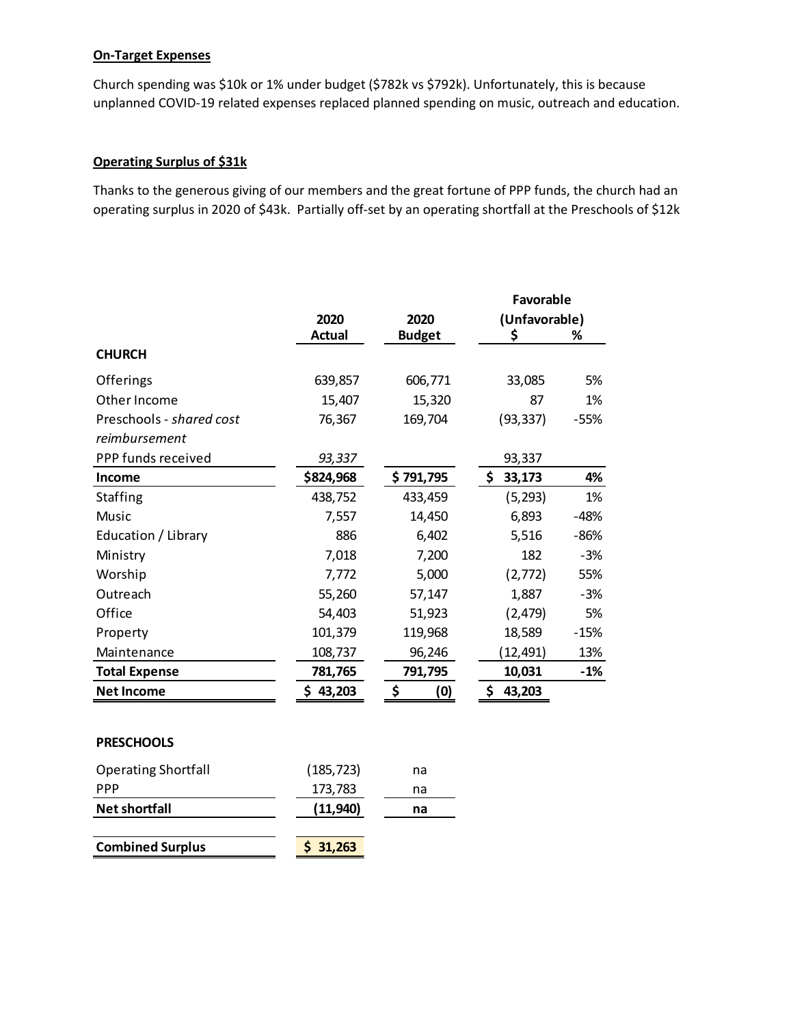# On-Target Expenses

Church spending was \$10k or 1% under budget (\$782k vs \$792k). Unfortunately, this is because unplanned COVID-19 related expenses replaced planned spending on music, outreach and education.

# Operating Surplus of \$31k

Thanks to the generous giving of our members and the great fortune of PPP funds, the church had an operating surplus in 2020 of \$43k. Partially off-set by an operating shortfall at the Preschools of \$12k

|                            |               |               | <b>Favorable</b> |        |  |
|----------------------------|---------------|---------------|------------------|--------|--|
|                            | 2020          | 2020          | (Unfavorable)    |        |  |
|                            | <b>Actual</b> | <b>Budget</b> | \$               | %      |  |
| <b>CHURCH</b>              |               |               |                  |        |  |
| Offerings                  | 639,857       | 606,771       | 33,085           | 5%     |  |
| Other Income               | 15,407        | 15,320        | 87               | 1%     |  |
| Preschools - shared cost   | 76,367        | 169,704       | (93, 337)        | $-55%$ |  |
| reimbursement              |               |               |                  |        |  |
| PPP funds received         | 93,337        |               | 93,337           |        |  |
| Income                     | \$824,968     | \$791,795     | \$<br>33,173     | 4%     |  |
| Staffing                   | 438,752       | 433,459       | (5, 293)         | 1%     |  |
| Music                      | 7,557         | 14,450        | 6,893            | $-48%$ |  |
| Education / Library        | 886           | 6,402         | 5,516            | $-86%$ |  |
| Ministry                   | 7,018         | 7,200         | 182              | $-3%$  |  |
| Worship                    | 7,772         | 5,000         | (2,772)          | 55%    |  |
| Outreach                   | 55,260        | 57,147        | 1,887            | $-3%$  |  |
| Office                     | 54,403        | 51,923        | (2, 479)         | 5%     |  |
| Property                   | 101,379       | 119,968       | 18,589           | $-15%$ |  |
| Maintenance                | 108,737       | 96,246        | (12,491)         | 13%    |  |
| <b>Total Expense</b>       | 781,765       | 791,795       | 10,031           | $-1%$  |  |
| <b>Net Income</b>          | \$43,203      | \$<br>(0)     | \$43,203         |        |  |
|                            |               |               |                  |        |  |
| <b>PRESCHOOLS</b>          |               |               |                  |        |  |
| <b>Operating Shortfall</b> | (185, 723)    | na            |                  |        |  |
| PPP                        | 173,783       | na            |                  |        |  |
| <b>Net shortfall</b>       | (11, 940)     | na            |                  |        |  |
| <b>Combined Surplus</b>    | \$31,263      |               |                  |        |  |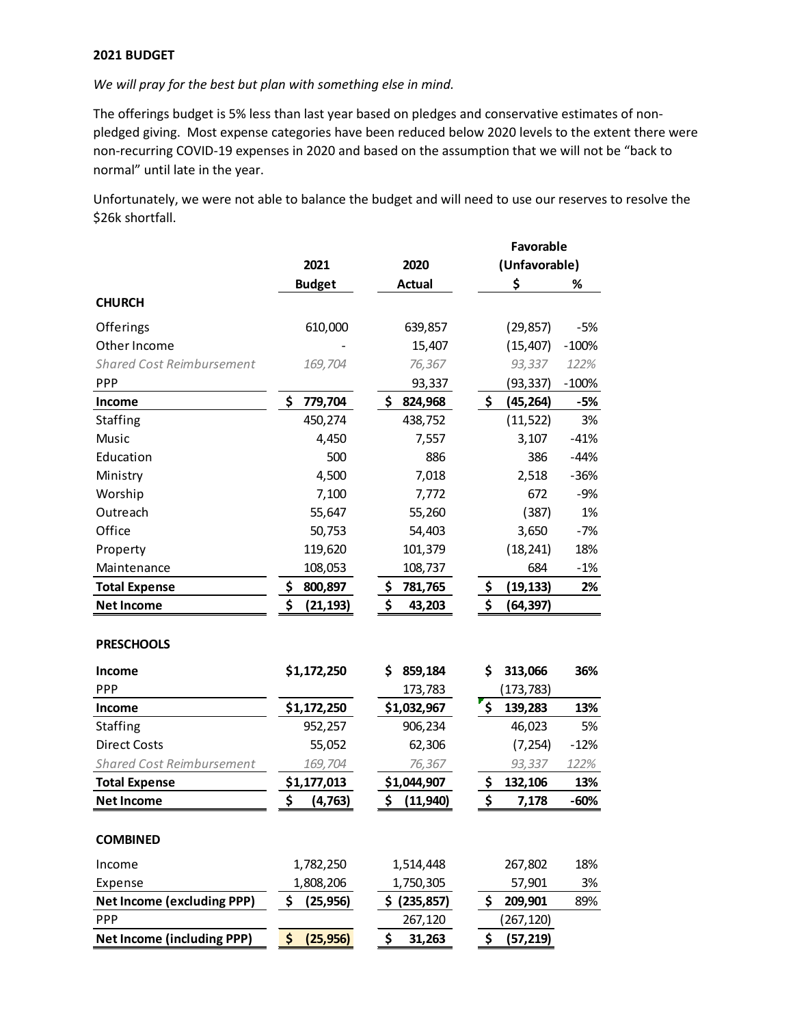#### 2021 BUDGET

We will pray for the best but plan with something else in mind.

The offerings budget is 5% less than last year based on pledges and conservative estimates of nonpledged giving. Most expense categories have been reduced below 2020 levels to the extent there were non-recurring COVID-19 expenses in 2020 and based on the assumption that we will not be "back to normal" until late in the year.

Unfortunately, we were not able to balance the budget and will need to use our reserves to resolve the \$26k shortfall.

|                                   |                 |                 | Favorable     |            |         |  |
|-----------------------------------|-----------------|-----------------|---------------|------------|---------|--|
|                                   | 2021            | 2020            | (Unfavorable) |            |         |  |
|                                   | <b>Budget</b>   | <b>Actual</b>   |               | \$         | %       |  |
| <b>CHURCH</b>                     |                 |                 |               |            |         |  |
| Offerings                         | 610,000         | 639,857         |               | (29, 857)  | $-5%$   |  |
| Other Income                      |                 | 15,407          |               | (15, 407)  | $-100%$ |  |
| <b>Shared Cost Reimbursement</b>  | 169,704         | 76,367          |               | 93,337     | 122%    |  |
| PPP                               |                 | 93,337          |               | (93, 337)  | $-100%$ |  |
| Income                            | \$<br>779,704   | \$<br>824,968   | \$            | (45, 264)  | -5%     |  |
| Staffing                          | 450,274         | 438,752         |               | (11, 522)  | 3%      |  |
| Music                             | 4,450           | 7,557           |               | 3,107      | $-41%$  |  |
| Education                         | 500             | 886             |               | 386        | $-44%$  |  |
| Ministry                          | 4,500           | 7,018           |               | 2,518      | $-36%$  |  |
| Worship                           | 7,100           | 7,772           |               | 672        | $-9%$   |  |
| Outreach                          | 55,647          | 55,260          |               | (387)      | 1%      |  |
| Office                            | 50,753          | 54,403          |               | 3,650      | $-7%$   |  |
| Property                          | 119,620         | 101,379         |               | (18, 241)  | 18%     |  |
| Maintenance                       | 108,053         | 108,737         |               | 684        | $-1%$   |  |
| <b>Total Expense</b>              | \$<br>800,897   | 781,765<br>\$   | \$            | (19, 133)  | 2%      |  |
| <b>Net Income</b>                 | \$<br>(21, 193) | \$<br>43,203    | \$            | (64, 397)  |         |  |
|                                   |                 |                 |               |            |         |  |
| <b>PRESCHOOLS</b>                 |                 |                 |               |            |         |  |
| <b>Income</b>                     | \$1,172,250     | 859,184<br>\$   | \$            | 313,066    | 36%     |  |
| PPP                               |                 | 173,783         |               | (173, 783) |         |  |
| Income                            | \$1,172,250     | \$1,032,967     | \$            | 139,283    | 13%     |  |
| Staffing                          | 952,257         | 906,234         |               | 46,023     | 5%      |  |
| <b>Direct Costs</b>               | 55,052          | 62,306          |               | (7, 254)   | $-12%$  |  |
| <b>Shared Cost Reimbursement</b>  | 169,704         | 76,367          |               | 93,337     | 122%    |  |
| <b>Total Expense</b>              | \$1,177,013     | \$1,044,907     | \$            | 132,106    | 13%     |  |
| <b>Net Income</b>                 | \$<br>(4, 763)  | \$<br>(11, 940) | \$            | 7,178      | -60%    |  |
| <b>COMBINED</b>                   |                 |                 |               |            |         |  |
|                                   |                 |                 |               |            |         |  |
| Income                            | 1,782,250       | 1,514,448       |               | 267,802    | 18%     |  |
| Expense                           | 1,808,206       | 1,750,305       |               | 57,901     | 3%      |  |
| <b>Net Income (excluding PPP)</b> | \$<br>(25, 956) | \$ (235,857)    | \$            | 209,901    | 89%     |  |
| <b>PPP</b>                        |                 | 267,120         |               | (267, 120) |         |  |
| <b>Net Income (including PPP)</b> | \$<br>(25, 956) | \$<br>31,263    | \$            | (57, 219)  |         |  |